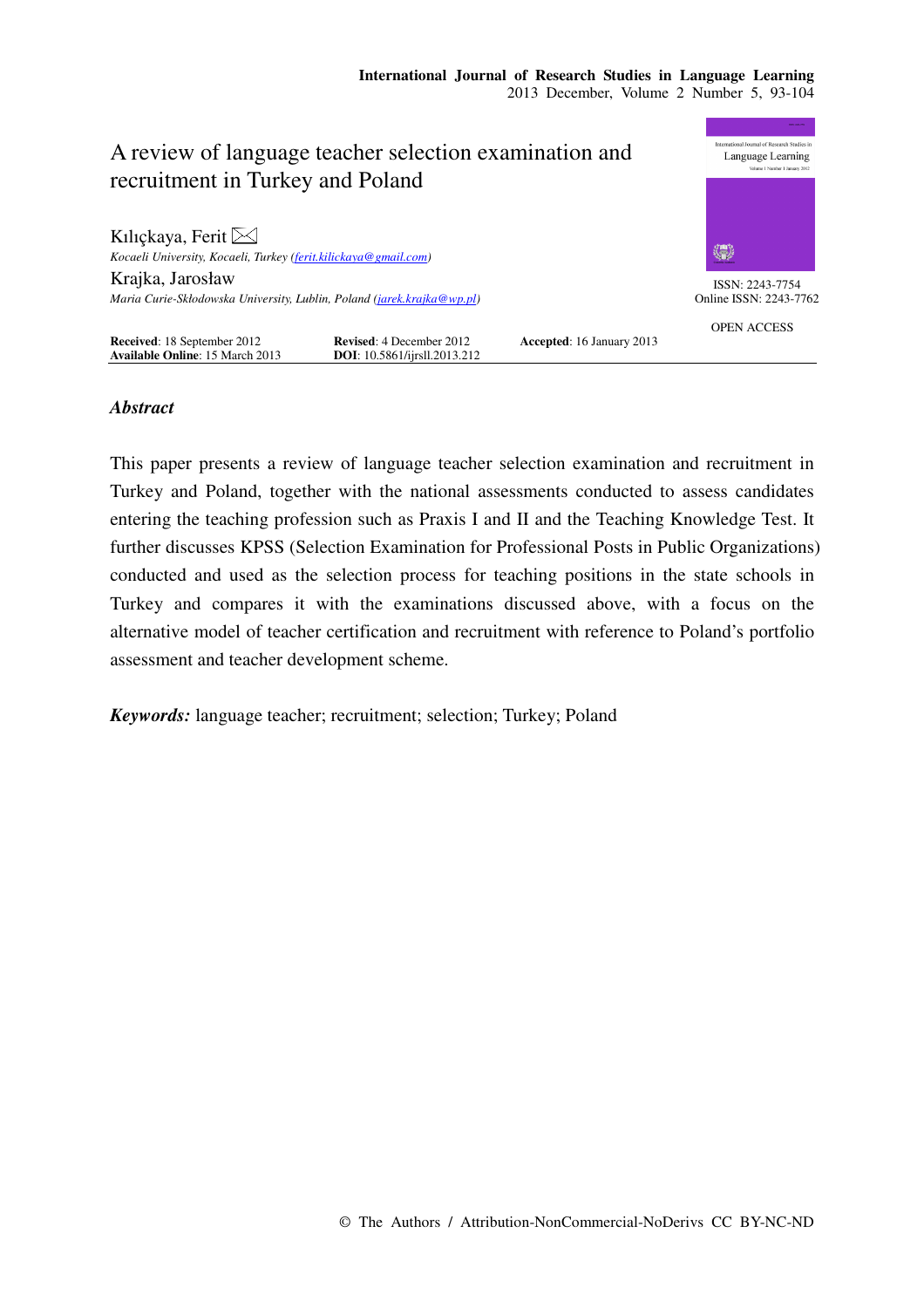

## *Abstract*

This paper presents a review of language teacher selection examination and recruitment in Turkey and Poland, together with the national assessments conducted to assess candidates entering the teaching profession such as Praxis I and II and the Teaching Knowledge Test. It further discusses KPSS (Selection Examination for Professional Posts in Public Organizations) conducted and used as the selection process for teaching positions in the state schools in Turkey and compares it with the examinations discussed above, with a focus on the alternative model of teacher certification and recruitment with reference to Poland's portfolio assessment and teacher development scheme.

*Keywords:* language teacher; recruitment; selection; Turkey; Poland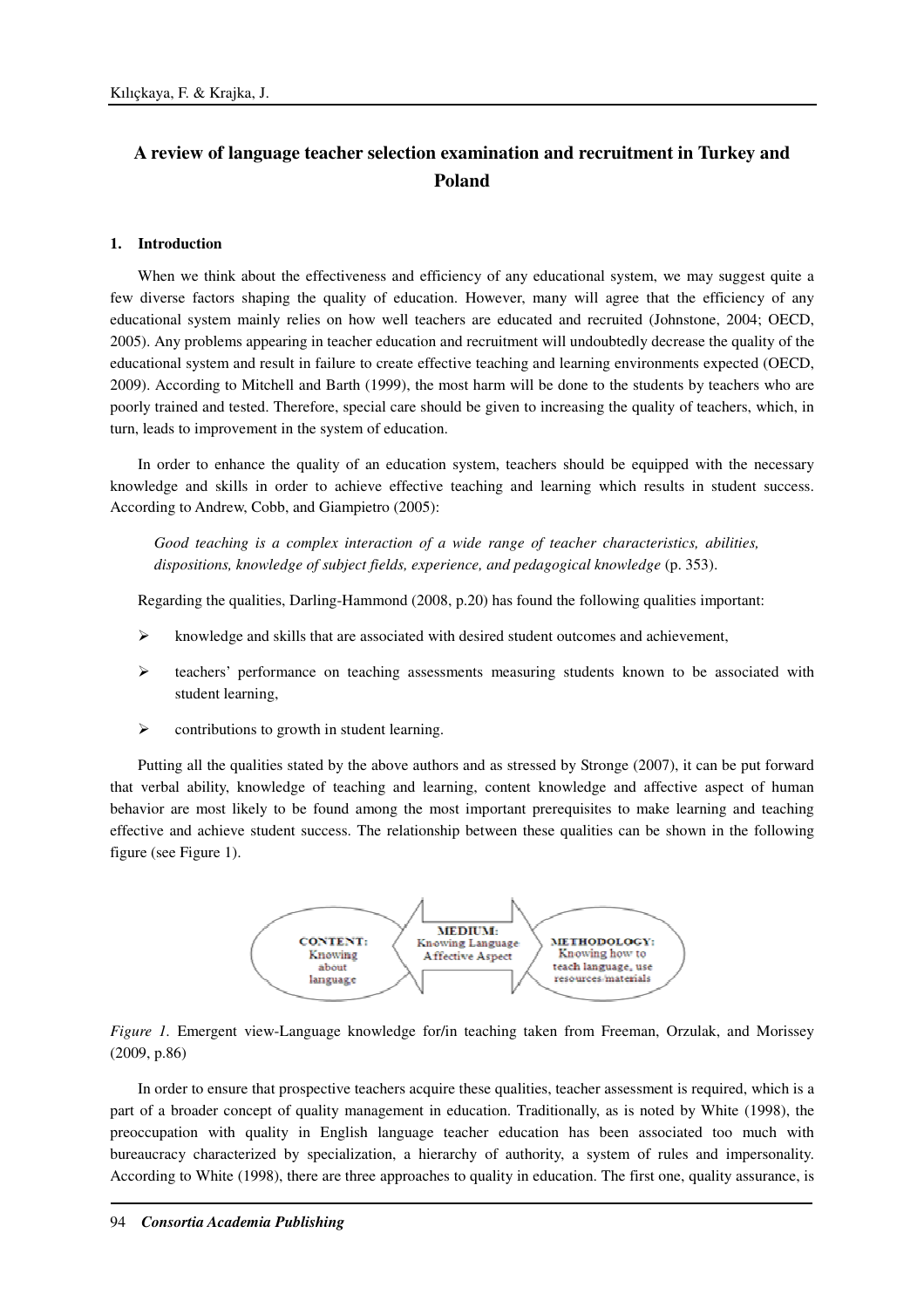# **A review of language teacher selection examination and recruitment in Turkey and Poland**

### **1. Introduction**

When we think about the effectiveness and efficiency of any educational system, we may suggest quite a few diverse factors shaping the quality of education. However, many will agree that the efficiency of any educational system mainly relies on how well teachers are educated and recruited (Johnstone, 2004; OECD, 2005). Any problems appearing in teacher education and recruitment will undoubtedly decrease the quality of the educational system and result in failure to create effective teaching and learning environments expected (OECD, 2009). According to Mitchell and Barth (1999), the most harm will be done to the students by teachers who are poorly trained and tested. Therefore, special care should be given to increasing the quality of teachers, which, in turn, leads to improvement in the system of education.

In order to enhance the quality of an education system, teachers should be equipped with the necessary knowledge and skills in order to achieve effective teaching and learning which results in student success. According to Andrew, Cobb, and Giampietro (2005):

*Good teaching is a complex interaction of a wide range of teacher characteristics, abilities, dispositions, knowledge of subject fields, experience, and pedagogical knowledge* (p. 353).

Regarding the qualities, Darling-Hammond (2008, p.20) has found the following qualities important:

- knowledge and skills that are associated with desired student outcomes and achievement,
- $\triangleright$  teachers' performance on teaching assessments measuring students known to be associated with student learning,
- $\triangleright$  contributions to growth in student learning.

Putting all the qualities stated by the above authors and as stressed by Stronge (2007), it can be put forward that verbal ability, knowledge of teaching and learning, content knowledge and affective aspect of human behavior are most likely to be found among the most important prerequisites to make learning and teaching effective and achieve student success. The relationship between these qualities can be shown in the following figure (see Figure 1).



*Figure 1.* Emergent view-Language knowledge for/in teaching taken from Freeman, Orzulak, and Morissey (2009, p.86)

In order to ensure that prospective teachers acquire these qualities, teacher assessment is required, which is a part of a broader concept of quality management in education. Traditionally, as is noted by White (1998), the preoccupation with quality in English language teacher education has been associated too much with bureaucracy characterized by specialization, a hierarchy of authority, a system of rules and impersonality. According to White (1998), there are three approaches to quality in education. The first one, quality assurance, is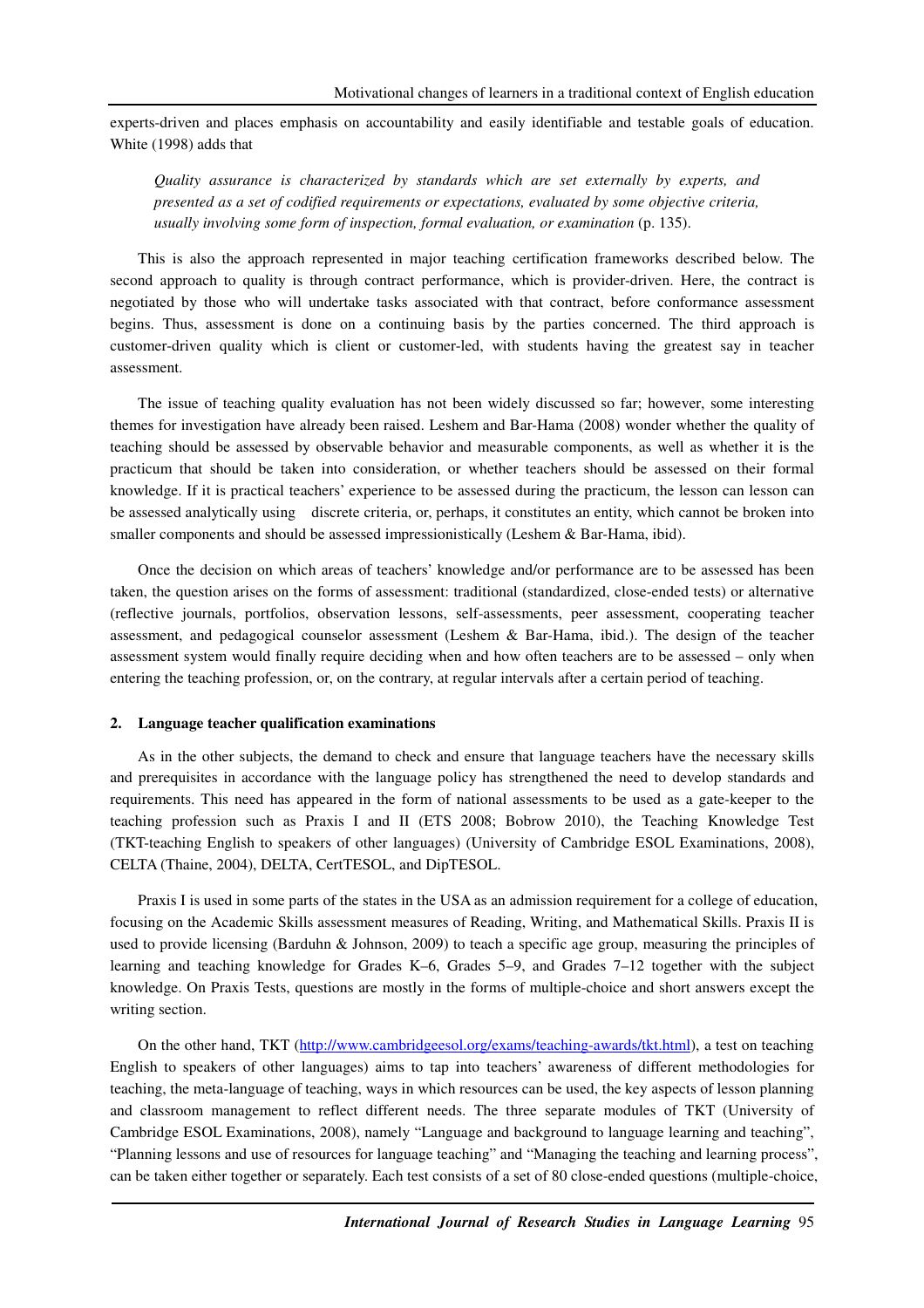experts-driven and places emphasis on accountability and easily identifiable and testable goals of education. White (1998) adds that

*Quality assurance is characterized by standards which are set externally by experts, and presented as a set of codified requirements or expectations, evaluated by some objective criteria, usually involving some form of inspection, formal evaluation, or examination (p. 135).* 

This is also the approach represented in major teaching certification frameworks described below. The second approach to quality is through contract performance, which is provider-driven. Here, the contract is negotiated by those who will undertake tasks associated with that contract, before conformance assessment begins. Thus, assessment is done on a continuing basis by the parties concerned. The third approach is customer-driven quality which is client or customer-led, with students having the greatest say in teacher assessment.

The issue of teaching quality evaluation has not been widely discussed so far; however, some interesting themes for investigation have already been raised. Leshem and Bar-Hama (2008) wonder whether the quality of teaching should be assessed by observable behavior and measurable components, as well as whether it is the practicum that should be taken into consideration, or whether teachers should be assessed on their formal knowledge. If it is practical teachers' experience to be assessed during the practicum, the lesson can lesson can be assessed analytically using discrete criteria, or, perhaps, it constitutes an entity, which cannot be broken into smaller components and should be assessed impressionistically (Leshem & Bar-Hama, ibid).

Once the decision on which areas of teachers' knowledge and/or performance are to be assessed has been taken, the question arises on the forms of assessment: traditional (standardized, close-ended tests) or alternative (reflective journals, portfolios, observation lessons, self-assessments, peer assessment, cooperating teacher assessment, and pedagogical counselor assessment (Leshem & Bar-Hama, ibid.). The design of the teacher assessment system would finally require deciding when and how often teachers are to be assessed – only when entering the teaching profession, or, on the contrary, at regular intervals after a certain period of teaching.

### **2. Language teacher qualification examinations**

As in the other subjects, the demand to check and ensure that language teachers have the necessary skills and prerequisites in accordance with the language policy has strengthened the need to develop standards and requirements. This need has appeared in the form of national assessments to be used as a gate-keeper to the teaching profession such as Praxis I and II (ETS 2008; Bobrow 2010), the Teaching Knowledge Test (TKT-teaching English to speakers of other languages) (University of Cambridge ESOL Examinations, 2008), CELTA (Thaine, 2004), DELTA, CertTESOL, and DipTESOL.

Praxis I is used in some parts of the states in the USA as an admission requirement for a college of education, focusing on the Academic Skills assessment measures of Reading, Writing, and Mathematical Skills. Praxis II is used to provide licensing (Barduhn & Johnson, 2009) to teach a specific age group, measuring the principles of learning and teaching knowledge for Grades K–6, Grades 5–9, and Grades 7–12 together with the subject knowledge. On Praxis Tests, questions are mostly in the forms of multiple-choice and short answers except the writing section.

On the other hand, TKT (http://www.cambridgeesol.org/exams/teaching-awards/tkt.html), a test on teaching English to speakers of other languages) aims to tap into teachers' awareness of different methodologies for teaching, the meta-language of teaching, ways in which resources can be used, the key aspects of lesson planning and classroom management to reflect different needs. The three separate modules of TKT (University of Cambridge ESOL Examinations, 2008), namely "Language and background to language learning and teaching", "Planning lessons and use of resources for language teaching" and "Managing the teaching and learning process", can be taken either together or separately. Each test consists of a set of 80 close-ended questions (multiple-choice,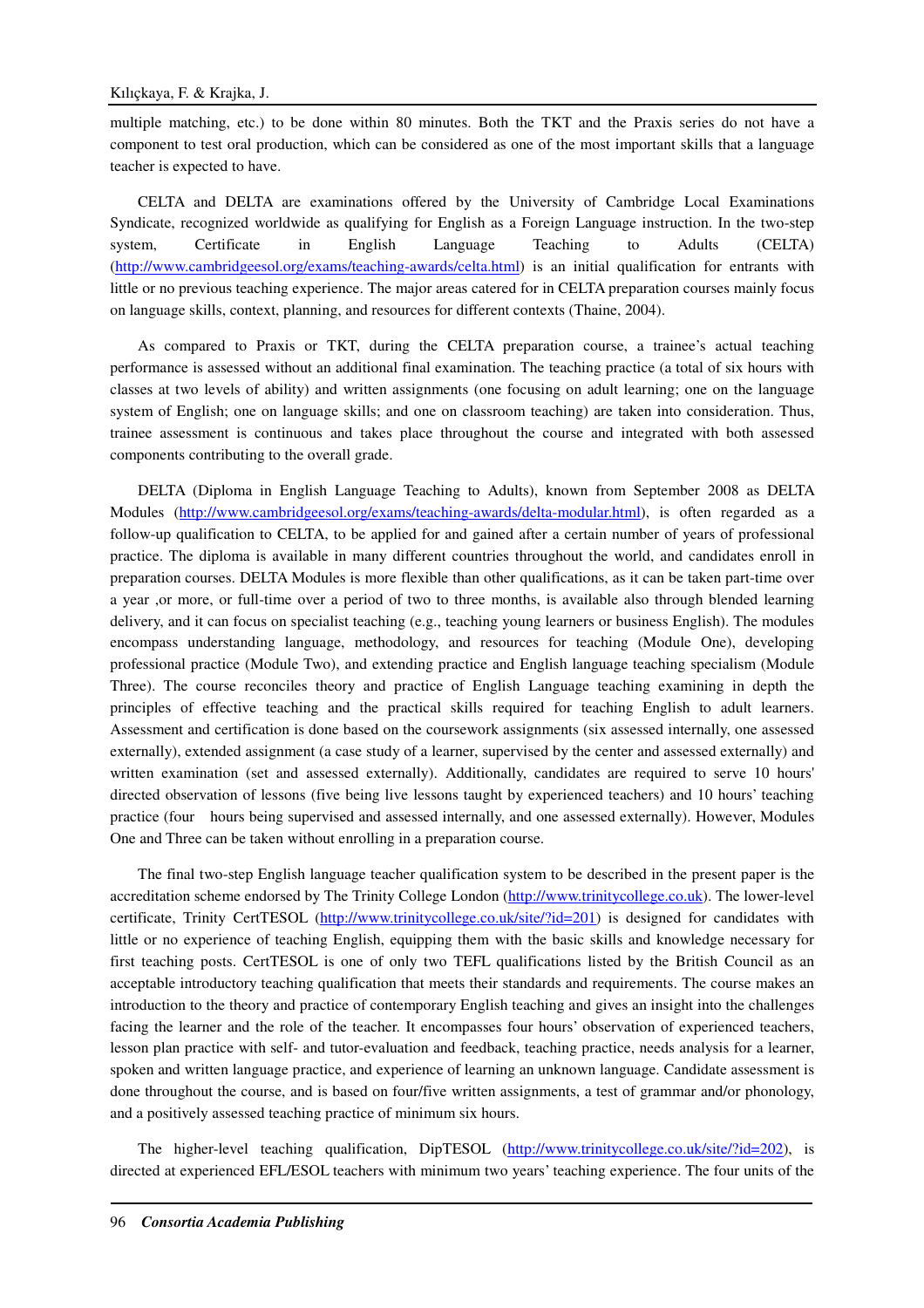multiple matching, etc.) to be done within 80 minutes. Both the TKT and the Praxis series do not have a component to test oral production, which can be considered as one of the most important skills that a language teacher is expected to have.

CELTA and DELTA are examinations offered by the University of Cambridge Local Examinations Syndicate, recognized worldwide as qualifying for English as a Foreign Language instruction. In the two-step system, Certificate in English Language Teaching to Adults (CELTA) (http://www.cambridgeesol.org/exams/teaching-awards/celta.html) is an initial qualification for entrants with little or no previous teaching experience. The major areas catered for in CELTA preparation courses mainly focus on language skills, context, planning, and resources for different contexts (Thaine, 2004).

As compared to Praxis or TKT, during the CELTA preparation course, a trainee's actual teaching performance is assessed without an additional final examination. The teaching practice (a total of six hours with classes at two levels of ability) and written assignments (one focusing on adult learning; one on the language system of English; one on language skills; and one on classroom teaching) are taken into consideration. Thus, trainee assessment is continuous and takes place throughout the course and integrated with both assessed components contributing to the overall grade.

DELTA (Diploma in English Language Teaching to Adults), known from September 2008 as DELTA Modules (http://www.cambridgeesol.org/exams/teaching-awards/delta-modular.html), is often regarded as a follow-up qualification to CELTA, to be applied for and gained after a certain number of years of professional practice. The diploma is available in many different countries throughout the world, and candidates enroll in preparation courses. DELTA Modules is more flexible than other qualifications, as it can be taken part-time over a year ,or more, or full-time over a period of two to three months, is available also through blended learning delivery, and it can focus on specialist teaching (e.g., teaching young learners or business English). The modules encompass understanding language, methodology, and resources for teaching (Module One), developing professional practice (Module Two), and extending practice and English language teaching specialism (Module Three). The course reconciles theory and practice of English Language teaching examining in depth the principles of effective teaching and the practical skills required for teaching English to adult learners. Assessment and certification is done based on the coursework assignments (six assessed internally, one assessed externally), extended assignment (a case study of a learner, supervised by the center and assessed externally) and written examination (set and assessed externally). Additionally, candidates are required to serve 10 hours' directed observation of lessons (five being live lessons taught by experienced teachers) and 10 hours' teaching practice (four hours being supervised and assessed internally, and one assessed externally). However, Modules One and Three can be taken without enrolling in a preparation course.

The final two-step English language teacher qualification system to be described in the present paper is the accreditation scheme endorsed by The Trinity College London (http://www.trinitycollege.co.uk). The lower-level certificate, Trinity CertTESOL (http://www.trinitycollege.co.uk/site/?id=201) is designed for candidates with little or no experience of teaching English, equipping them with the basic skills and knowledge necessary for first teaching posts. CertTESOL is one of only two TEFL qualifications listed by the British Council as an acceptable introductory teaching qualification that meets their standards and requirements. The course makes an introduction to the theory and practice of contemporary English teaching and gives an insight into the challenges facing the learner and the role of the teacher. It encompasses four hours' observation of experienced teachers, lesson plan practice with self- and tutor-evaluation and feedback, teaching practice, needs analysis for a learner, spoken and written language practice, and experience of learning an unknown language. Candidate assessment is done throughout the course, and is based on four/five written assignments, a test of grammar and/or phonology, and a positively assessed teaching practice of minimum six hours.

The higher-level teaching qualification, DipTESOL (http://www.trinitycollege.co.uk/site/?id=202), is directed at experienced EFL/ESOL teachers with minimum two years' teaching experience. The four units of the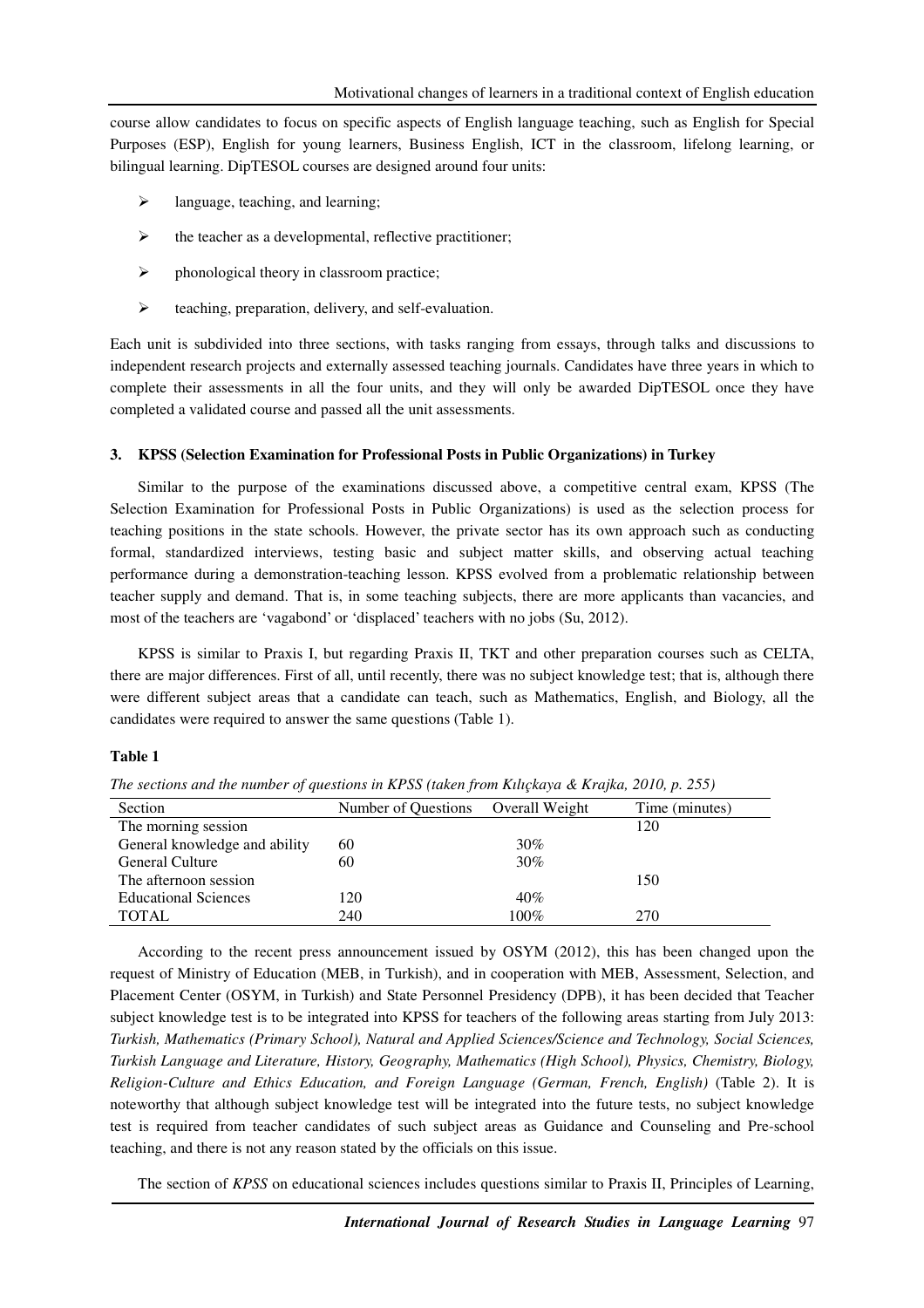course allow candidates to focus on specific aspects of English language teaching, such as English for Special Purposes (ESP), English for young learners, Business English, ICT in the classroom, lifelong learning, or bilingual learning. DipTESOL courses are designed around four units:

- $\triangleright$  language, teaching, and learning;
- $\triangleright$  the teacher as a developmental, reflective practitioner;
- $\triangleright$  phonological theory in classroom practice;
- $\triangleright$  teaching, preparation, delivery, and self-evaluation.

Each unit is subdivided into three sections, with tasks ranging from essays, through talks and discussions to independent research projects and externally assessed teaching journals. Candidates have three years in which to complete their assessments in all the four units, and they will only be awarded DipTESOL once they have completed a validated course and passed all the unit assessments.

#### **3. KPSS (Selection Examination for Professional Posts in Public Organizations) in Turkey**

Similar to the purpose of the examinations discussed above, a competitive central exam, KPSS (The Selection Examination for Professional Posts in Public Organizations) is used as the selection process for teaching positions in the state schools. However, the private sector has its own approach such as conducting formal, standardized interviews, testing basic and subject matter skills, and observing actual teaching performance during a demonstration-teaching lesson. KPSS evolved from a problematic relationship between teacher supply and demand. That is, in some teaching subjects, there are more applicants than vacancies, and most of the teachers are 'vagabond' or 'displaced' teachers with no jobs (Su, 2012).

KPSS is similar to Praxis I, but regarding Praxis II, TKT and other preparation courses such as CELTA, there are major differences. First of all, until recently, there was no subject knowledge test; that is, although there were different subject areas that a candidate can teach, such as Mathematics, English, and Biology, all the candidates were required to answer the same questions (Table 1).

#### **Table 1**

| Section                       | Number of Questions Overall Weight |        | Time (minutes) |
|-------------------------------|------------------------------------|--------|----------------|
| The morning session           |                                    |        | 120            |
| General knowledge and ability | 60                                 | $30\%$ |                |
| <b>General Culture</b>        | 60                                 | $30\%$ |                |
| The afternoon session         |                                    |        | 150            |
| <b>Educational Sciences</b>   | 120                                | 40%    |                |
| <b>TOTAL</b>                  | 240                                | 100%   | 270            |

*The sections and the number of questions in KPSS (taken from Kılıçkaya & Krajka, 2010, p. 255)* 

According to the recent press announcement issued by OSYM (2012), this has been changed upon the request of Ministry of Education (MEB, in Turkish), and in cooperation with MEB, Assessment, Selection, and Placement Center (OSYM, in Turkish) and State Personnel Presidency (DPB), it has been decided that Teacher subject knowledge test is to be integrated into KPSS for teachers of the following areas starting from July 2013: *Turkish, Mathematics (Primary School), Natural and Applied Sciences/Science and Technology, Social Sciences, Turkish Language and Literature, History, Geography, Mathematics (High School), Physics, Chemistry, Biology, Religion-Culture and Ethics Education, and Foreign Language (German, French, English)* (Table 2). It is noteworthy that although subject knowledge test will be integrated into the future tests, no subject knowledge test is required from teacher candidates of such subject areas as Guidance and Counseling and Pre-school teaching, and there is not any reason stated by the officials on this issue.

The section of *KPSS* on educational sciences includes questions similar to Praxis II, Principles of Learning,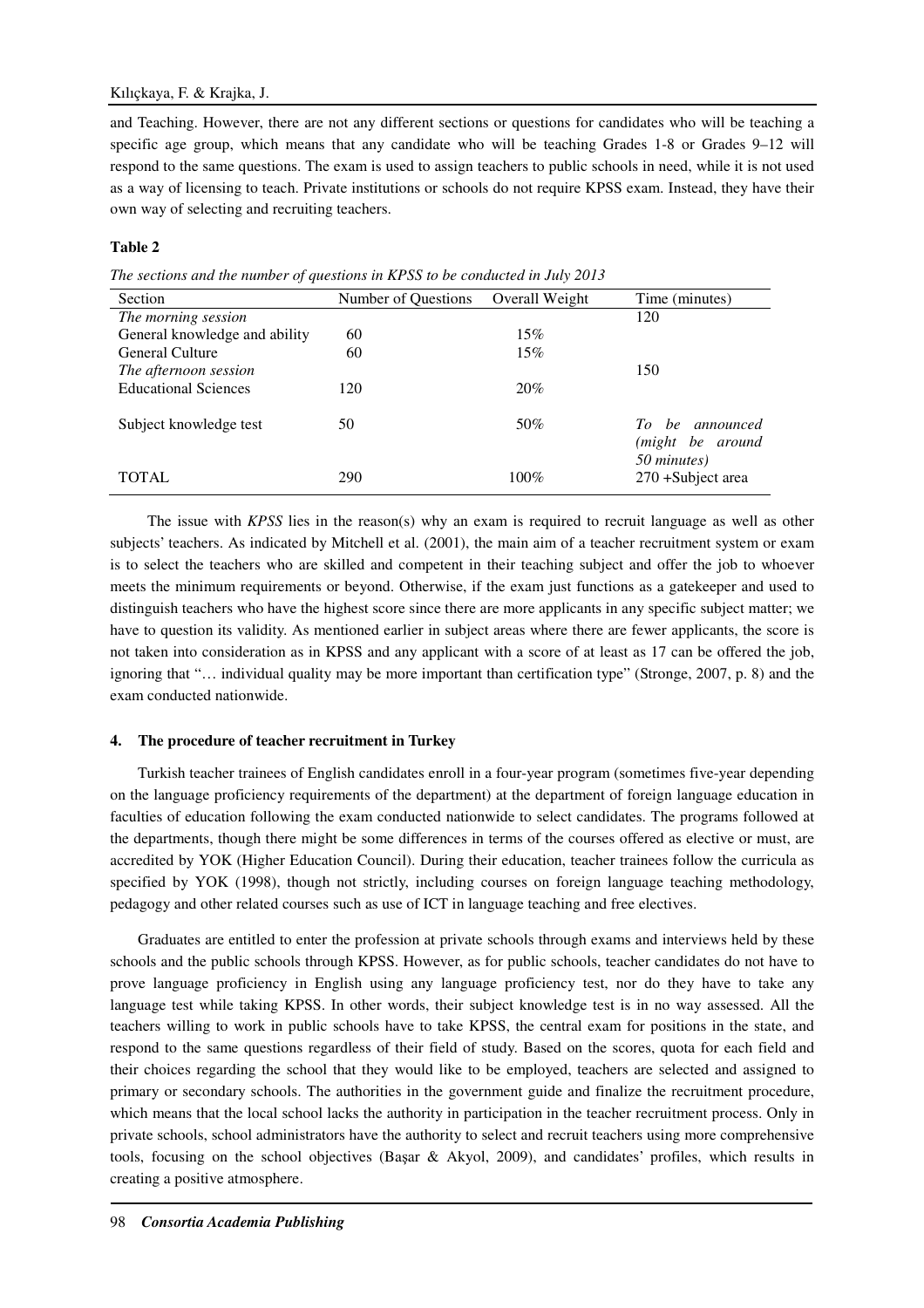## Kılıçkaya, F. & Krajka, J.

and Teaching. However, there are not any different sections or questions for candidates who will be teaching a specific age group, which means that any candidate who will be teaching Grades 1-8 or Grades 9–12 will respond to the same questions. The exam is used to assign teachers to public schools in need, while it is not used as a way of licensing to teach. Private institutions or schools do not require KPSS exam. Instead, they have their own way of selecting and recruiting teachers.

## **Table 2**

*The sections and the number of questions in KPSS to be conducted in July 2013* 

| Section                       | Number of Questions | Overall Weight | Time (minutes)     |
|-------------------------------|---------------------|----------------|--------------------|
| The morning session           |                     |                | 120                |
| General knowledge and ability | 60                  | 15%            |                    |
| General Culture               | 60                  | 15%            |                    |
| The afternoon session         |                     |                | 150                |
| <b>Educational Sciences</b>   | 120                 | 20%            |                    |
|                               |                     |                |                    |
| Subject knowledge test        | 50                  | 50%            | To be announced    |
|                               |                     |                | (might be around   |
|                               |                     |                | 50 minutes)        |
| <b>TOTAL</b>                  | 290                 | $100\%$        | 270 + Subject area |

 The issue with *KPSS* lies in the reason(s) why an exam is required to recruit language as well as other subjects' teachers. As indicated by Mitchell et al. (2001), the main aim of a teacher recruitment system or exam is to select the teachers who are skilled and competent in their teaching subject and offer the job to whoever meets the minimum requirements or beyond. Otherwise, if the exam just functions as a gatekeeper and used to distinguish teachers who have the highest score since there are more applicants in any specific subject matter; we have to question its validity. As mentioned earlier in subject areas where there are fewer applicants, the score is not taken into consideration as in KPSS and any applicant with a score of at least as 17 can be offered the job, ignoring that "… individual quality may be more important than certification type" (Stronge, 2007, p. 8) and the exam conducted nationwide.

## **4. The procedure of teacher recruitment in Turkey**

Turkish teacher trainees of English candidates enroll in a four-year program (sometimes five-year depending on the language proficiency requirements of the department) at the department of foreign language education in faculties of education following the exam conducted nationwide to select candidates. The programs followed at the departments, though there might be some differences in terms of the courses offered as elective or must, are accredited by YOK (Higher Education Council). During their education, teacher trainees follow the curricula as specified by YOK (1998), though not strictly, including courses on foreign language teaching methodology, pedagogy and other related courses such as use of ICT in language teaching and free electives.

Graduates are entitled to enter the profession at private schools through exams and interviews held by these schools and the public schools through KPSS. However, as for public schools, teacher candidates do not have to prove language proficiency in English using any language proficiency test, nor do they have to take any language test while taking KPSS. In other words, their subject knowledge test is in no way assessed. All the teachers willing to work in public schools have to take KPSS, the central exam for positions in the state, and respond to the same questions regardless of their field of study. Based on the scores, quota for each field and their choices regarding the school that they would like to be employed, teachers are selected and assigned to primary or secondary schools. The authorities in the government guide and finalize the recruitment procedure, which means that the local school lacks the authority in participation in the teacher recruitment process. Only in private schools, school administrators have the authority to select and recruit teachers using more comprehensive tools, focusing on the school objectives (Başar & Akyol, 2009), and candidates' profiles, which results in creating a positive atmosphere.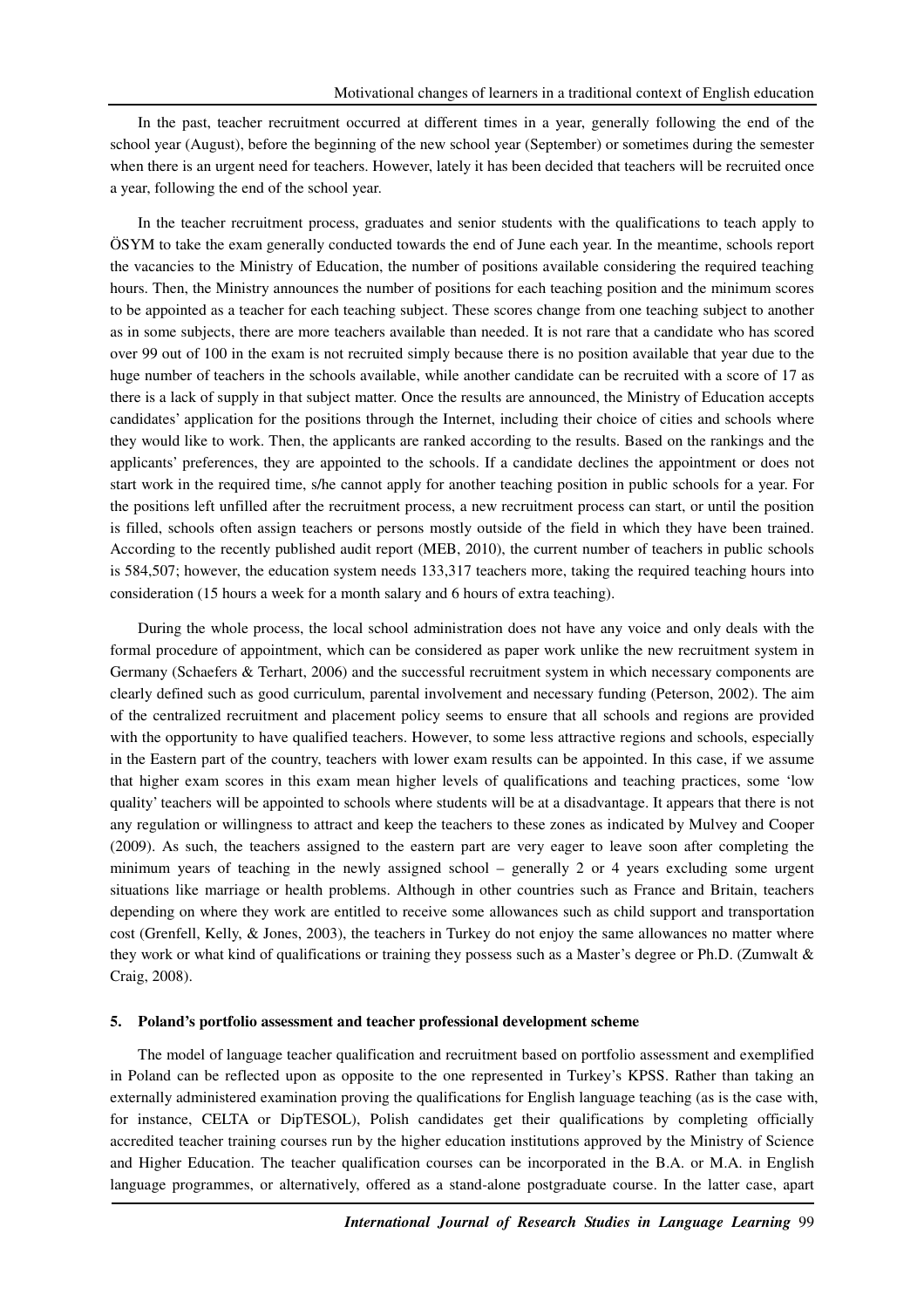In the past, teacher recruitment occurred at different times in a year, generally following the end of the school year (August), before the beginning of the new school year (September) or sometimes during the semester when there is an urgent need for teachers. However, lately it has been decided that teachers will be recruited once a year, following the end of the school year.

In the teacher recruitment process, graduates and senior students with the qualifications to teach apply to ÖSYM to take the exam generally conducted towards the end of June each year. In the meantime, schools report the vacancies to the Ministry of Education, the number of positions available considering the required teaching hours. Then, the Ministry announces the number of positions for each teaching position and the minimum scores to be appointed as a teacher for each teaching subject. These scores change from one teaching subject to another as in some subjects, there are more teachers available than needed. It is not rare that a candidate who has scored over 99 out of 100 in the exam is not recruited simply because there is no position available that year due to the huge number of teachers in the schools available, while another candidate can be recruited with a score of 17 as there is a lack of supply in that subject matter. Once the results are announced, the Ministry of Education accepts candidates' application for the positions through the Internet, including their choice of cities and schools where they would like to work. Then, the applicants are ranked according to the results. Based on the rankings and the applicants' preferences, they are appointed to the schools. If a candidate declines the appointment or does not start work in the required time, s/he cannot apply for another teaching position in public schools for a year. For the positions left unfilled after the recruitment process, a new recruitment process can start, or until the position is filled, schools often assign teachers or persons mostly outside of the field in which they have been trained. According to the recently published audit report (MEB, 2010), the current number of teachers in public schools is 584,507; however, the education system needs 133,317 teachers more, taking the required teaching hours into consideration (15 hours a week for a month salary and 6 hours of extra teaching).

During the whole process, the local school administration does not have any voice and only deals with the formal procedure of appointment, which can be considered as paper work unlike the new recruitment system in Germany (Schaefers & Terhart, 2006) and the successful recruitment system in which necessary components are clearly defined such as good curriculum, parental involvement and necessary funding (Peterson, 2002). The aim of the centralized recruitment and placement policy seems to ensure that all schools and regions are provided with the opportunity to have qualified teachers. However, to some less attractive regions and schools, especially in the Eastern part of the country, teachers with lower exam results can be appointed. In this case, if we assume that higher exam scores in this exam mean higher levels of qualifications and teaching practices, some 'low quality' teachers will be appointed to schools where students will be at a disadvantage. It appears that there is not any regulation or willingness to attract and keep the teachers to these zones as indicated by Mulvey and Cooper (2009). As such, the teachers assigned to the eastern part are very eager to leave soon after completing the minimum years of teaching in the newly assigned school – generally 2 or 4 years excluding some urgent situations like marriage or health problems. Although in other countries such as France and Britain, teachers depending on where they work are entitled to receive some allowances such as child support and transportation cost (Grenfell, Kelly, & Jones, 2003), the teachers in Turkey do not enjoy the same allowances no matter where they work or what kind of qualifications or training they possess such as a Master's degree or Ph.D. (Zumwalt & Craig, 2008).

#### **5. Poland's portfolio assessment and teacher professional development scheme**

The model of language teacher qualification and recruitment based on portfolio assessment and exemplified in Poland can be reflected upon as opposite to the one represented in Turkey's KPSS. Rather than taking an externally administered examination proving the qualifications for English language teaching (as is the case with, for instance, CELTA or DipTESOL), Polish candidates get their qualifications by completing officially accredited teacher training courses run by the higher education institutions approved by the Ministry of Science and Higher Education. The teacher qualification courses can be incorporated in the B.A. or M.A. in English language programmes, or alternatively, offered as a stand-alone postgraduate course. In the latter case, apart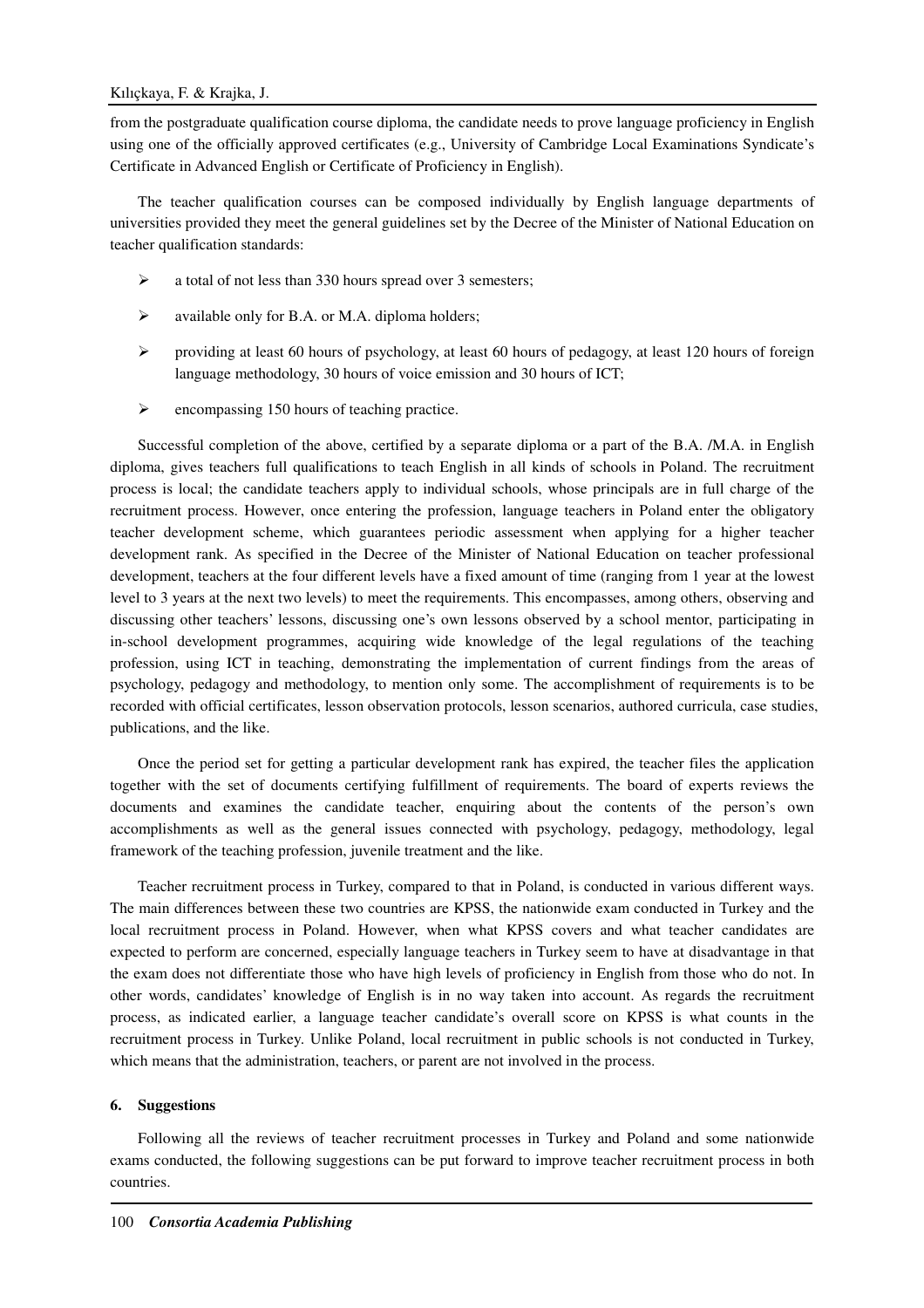from the postgraduate qualification course diploma, the candidate needs to prove language proficiency in English using one of the officially approved certificates (e.g., University of Cambridge Local Examinations Syndicate's Certificate in Advanced English or Certificate of Proficiency in English).

The teacher qualification courses can be composed individually by English language departments of universities provided they meet the general guidelines set by the Decree of the Minister of National Education on teacher qualification standards:

- $\geq$  a total of not less than 330 hours spread over 3 semesters;
- $\triangleright$  available only for B.A. or M.A. diploma holders;
- providing at least 60 hours of psychology, at least 60 hours of pedagogy, at least 120 hours of foreign language methodology, 30 hours of voice emission and 30 hours of ICT;
- $\triangleright$  encompassing 150 hours of teaching practice.

Successful completion of the above, certified by a separate diploma or a part of the B.A. /M.A. in English diploma, gives teachers full qualifications to teach English in all kinds of schools in Poland. The recruitment process is local; the candidate teachers apply to individual schools, whose principals are in full charge of the recruitment process. However, once entering the profession, language teachers in Poland enter the obligatory teacher development scheme, which guarantees periodic assessment when applying for a higher teacher development rank. As specified in the Decree of the Minister of National Education on teacher professional development, teachers at the four different levels have a fixed amount of time (ranging from 1 year at the lowest level to 3 years at the next two levels) to meet the requirements. This encompasses, among others, observing and discussing other teachers' lessons, discussing one's own lessons observed by a school mentor, participating in in-school development programmes, acquiring wide knowledge of the legal regulations of the teaching profession, using ICT in teaching, demonstrating the implementation of current findings from the areas of psychology, pedagogy and methodology, to mention only some. The accomplishment of requirements is to be recorded with official certificates, lesson observation protocols, lesson scenarios, authored curricula, case studies, publications, and the like.

Once the period set for getting a particular development rank has expired, the teacher files the application together with the set of documents certifying fulfillment of requirements. The board of experts reviews the documents and examines the candidate teacher, enquiring about the contents of the person's own accomplishments as well as the general issues connected with psychology, pedagogy, methodology, legal framework of the teaching profession, juvenile treatment and the like.

Teacher recruitment process in Turkey, compared to that in Poland, is conducted in various different ways. The main differences between these two countries are KPSS, the nationwide exam conducted in Turkey and the local recruitment process in Poland. However, when what KPSS covers and what teacher candidates are expected to perform are concerned, especially language teachers in Turkey seem to have at disadvantage in that the exam does not differentiate those who have high levels of proficiency in English from those who do not. In other words, candidates' knowledge of English is in no way taken into account. As regards the recruitment process, as indicated earlier, a language teacher candidate's overall score on KPSS is what counts in the recruitment process in Turkey. Unlike Poland, local recruitment in public schools is not conducted in Turkey, which means that the administration, teachers, or parent are not involved in the process.

#### **6. Suggestions**

Following all the reviews of teacher recruitment processes in Turkey and Poland and some nationwide exams conducted, the following suggestions can be put forward to improve teacher recruitment process in both countries.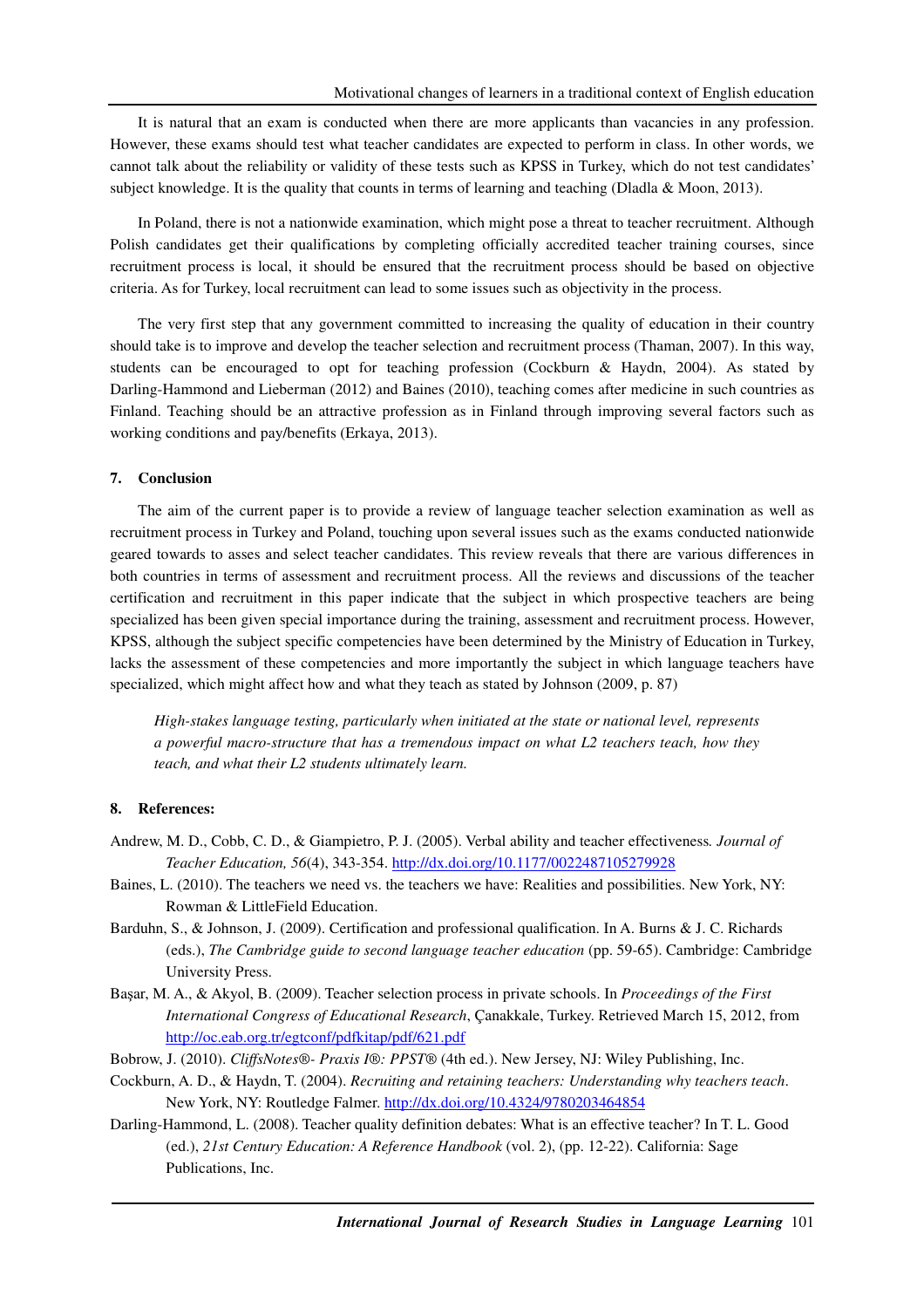It is natural that an exam is conducted when there are more applicants than vacancies in any profession. However, these exams should test what teacher candidates are expected to perform in class. In other words, we cannot talk about the reliability or validity of these tests such as KPSS in Turkey, which do not test candidates' subject knowledge. It is the quality that counts in terms of learning and teaching (Dladla & Moon, 2013).

In Poland, there is not a nationwide examination, which might pose a threat to teacher recruitment. Although Polish candidates get their qualifications by completing officially accredited teacher training courses, since recruitment process is local, it should be ensured that the recruitment process should be based on objective criteria. As for Turkey, local recruitment can lead to some issues such as objectivity in the process.

The very first step that any government committed to increasing the quality of education in their country should take is to improve and develop the teacher selection and recruitment process (Thaman, 2007). In this way, students can be encouraged to opt for teaching profession (Cockburn & Haydn, 2004). As stated by Darling-Hammond and Lieberman (2012) and Baines (2010), teaching comes after medicine in such countries as Finland. Teaching should be an attractive profession as in Finland through improving several factors such as working conditions and pay/benefits (Erkaya, 2013).

#### **7. Conclusion**

The aim of the current paper is to provide a review of language teacher selection examination as well as recruitment process in Turkey and Poland, touching upon several issues such as the exams conducted nationwide geared towards to asses and select teacher candidates. This review reveals that there are various differences in both countries in terms of assessment and recruitment process. All the reviews and discussions of the teacher certification and recruitment in this paper indicate that the subject in which prospective teachers are being specialized has been given special importance during the training, assessment and recruitment process. However, KPSS, although the subject specific competencies have been determined by the Ministry of Education in Turkey, lacks the assessment of these competencies and more importantly the subject in which language teachers have specialized, which might affect how and what they teach as stated by Johnson (2009, p. 87)

*High-stakes language testing, particularly when initiated at the state or national level, represents a powerful macro-structure that has a tremendous impact on what L2 teachers teach, how they teach, and what their L2 students ultimately learn.*

## **8. References:**

- Andrew, M. D., Cobb, C. D., & Giampietro, P. J. (2005). Verbal ability and teacher effectiveness*. Journal of Teacher Education, 56*(4), 343-354. http://dx.doi.org/10.1177/0022487105279928
- Baines, L. (2010). The teachers we need vs. the teachers we have: Realities and possibilities. New York, NY: Rowman & LittleField Education.
- Barduhn, S., & Johnson, J. (2009). Certification and professional qualification. In A. Burns & J. C. Richards (eds.), *The Cambridge guide to second language teacher education* (pp. 59-65). Cambridge: Cambridge University Press.
- Başar, M. A., & Akyol, B. (2009). Teacher selection process in private schools. In *Proceedings of the First International Congress of Educational Research*, Çanakkale, Turkey. Retrieved March 15, 2012, from http://oc.eab.org.tr/egtconf/pdfkitap/pdf/621.pdf
- Bobrow, J. (2010). *CliffsNotes®- Praxis I®: PPST®* (4th ed.). New Jersey, NJ: Wiley Publishing, Inc.
- Cockburn, A. D., & Haydn, T. (2004). *Recruiting and retaining teachers: Understanding why teachers teach*. New York, NY: Routledge Falmer. http://dx.doi.org/10.4324/9780203464854
- Darling-Hammond, L. (2008). Teacher quality definition debates: What is an effective teacher? In T. L. Good (ed.), *21st Century Education: A Reference Handbook* (vol. 2), (pp. 12-22). California: Sage Publications, Inc.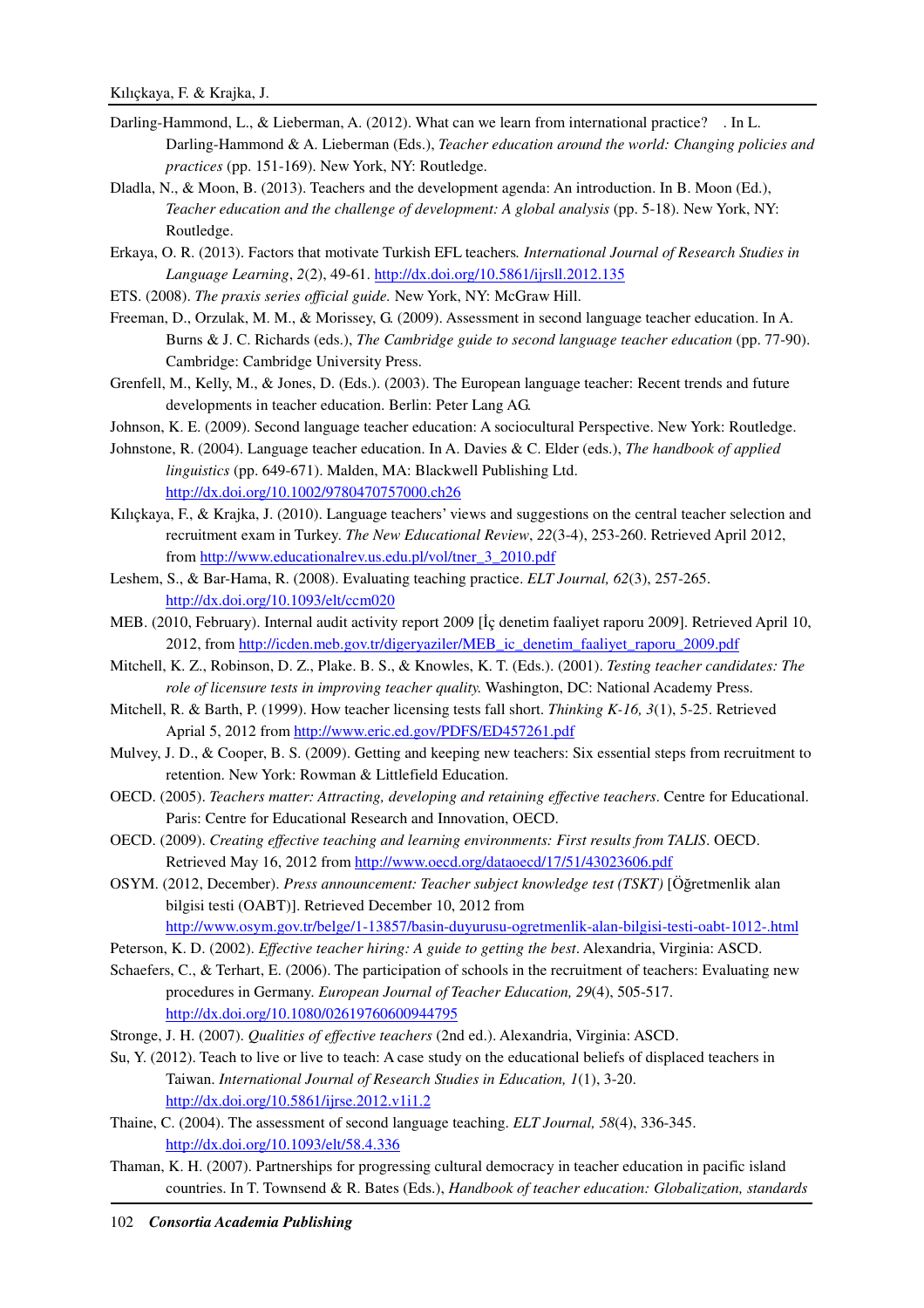- Darling-Hammond, L., & Lieberman, A. (2012). What can we learn from international practice? . In L. Darling-Hammond & A. Lieberman (Eds.), *Teacher education around the world: Changing policies and practices* (pp. 151-169). New York, NY: Routledge.
- Dladla, N., & Moon, B. (2013). Teachers and the development agenda: An introduction. In B. Moon (Ed.), *Teacher education and the challenge of development: A global analysis* (pp. 5-18). New York, NY: Routledge.
- Erkaya, O. R. (2013). Factors that motivate Turkish EFL teachers*. International Journal of Research Studies in Language Learning*, *2*(2), 49-61. http://dx.doi.org/10.5861/ijrsll.2012.135
- ETS. (2008). *The praxis series official guide.* New York, NY: McGraw Hill.
- Freeman, D., Orzulak, M. M., & Morissey, G. (2009). Assessment in second language teacher education. In A. Burns & J. C. Richards (eds.), *The Cambridge guide to second language teacher education* (pp. 77-90). Cambridge: Cambridge University Press.
- Grenfell, M., Kelly, M., & Jones, D. (Eds.). (2003). The European language teacher: Recent trends and future developments in teacher education. Berlin: Peter Lang AG.
- Johnson, K. E. (2009). Second language teacher education: A sociocultural Perspective. New York: Routledge.
- Johnstone, R. (2004). Language teacher education. In A. Davies & C. Elder (eds.), *The handbook of applied linguistics* (pp. 649-671). Malden, MA: Blackwell Publishing Ltd. http://dx.doi.org/10.1002/9780470757000.ch26
- Kılıçkaya, F., & Krajka, J. (2010). Language teachers' views and suggestions on the central teacher selection and recruitment exam in Turkey. *The New Educational Review*, *22*(3-4), 253-260. Retrieved April 2012, from http://www.educationalrev.us.edu.pl/vol/tner\_3\_2010.pdf
- Leshem, S., & Bar-Hama, R. (2008). Evaluating teaching practice. *ELT Journal, 62*(3), 257-265. http://dx.doi.org/10.1093/elt/ccm020
- MEB. (2010, February). Internal audit activity report 2009 [İç denetim faaliyet raporu 2009]. Retrieved April 10, 2012, from http://icden.meb.gov.tr/digeryaziler/MEB\_ic\_denetim\_faaliyet\_raporu\_2009.pdf
- Mitchell, K. Z., Robinson, D. Z., Plake. B. S., & Knowles, K. T. (Eds.). (2001). *Testing teacher candidates: The role of licensure tests in improving teacher quality.* Washington, DC: National Academy Press.
- Mitchell, R. & Barth, P. (1999). How teacher licensing tests fall short. *Thinking K-16, 3*(1), 5-25. Retrieved Aprial 5, 2012 from http://www.eric.ed.gov/PDFS/ED457261.pdf
- Mulvey, J. D., & Cooper, B. S. (2009). Getting and keeping new teachers: Six essential steps from recruitment to retention. New York: Rowman & Littlefield Education.
- OECD. (2005). *Teachers matter: Attracting, developing and retaining effective teachers*. Centre for Educational. Paris: Centre for Educational Research and Innovation, OECD.
- OECD. (2009). *Creating effective teaching and learning environments: First results from TALIS*. OECD. Retrieved May 16, 2012 from http://www.oecd.org/dataoecd/17/51/43023606.pdf
- OSYM. (2012, December). *Press announcement: Teacher subject knowledge test (TSKT)* [Öğretmenlik alan bilgisi testi (OABT)]. Retrieved December 10, 2012 from
	- http://www.osym.gov.tr/belge/1-13857/basin-duyurusu-ogretmenlik-alan-bilgisi-testi-oabt-1012-.html
- Peterson, K. D. (2002). *Effective teacher hiring: A guide to getting the best*. Alexandria, Virginia: ASCD.
- Schaefers, C., & Terhart, E. (2006). The participation of schools in the recruitment of teachers: Evaluating new procedures in Germany. *European Journal of Teacher Education, 29*(4), 505-517. http://dx.doi.org/10.1080/02619760600944795
- Stronge, J. H. (2007). *Qualities of effective teachers* (2nd ed.). Alexandria, Virginia: ASCD.
- Su, Y. (2012). Teach to live or live to teach: A case study on the educational beliefs of displaced teachers in Taiwan. *International Journal of Research Studies in Education, 1*(1), 3-20. http://dx.doi.org/10.5861/ijrse.2012.v1i1.2
- Thaine, C. (2004). The assessment of second language teaching. *ELT Journal, 58*(4), 336-345. http://dx.doi.org/10.1093/elt/58.4.336
- Thaman, K. H. (2007). Partnerships for progressing cultural democracy in teacher education in pacific island countries. In T. Townsend & R. Bates (Eds.), *Handbook of teacher education: Globalization, standards*